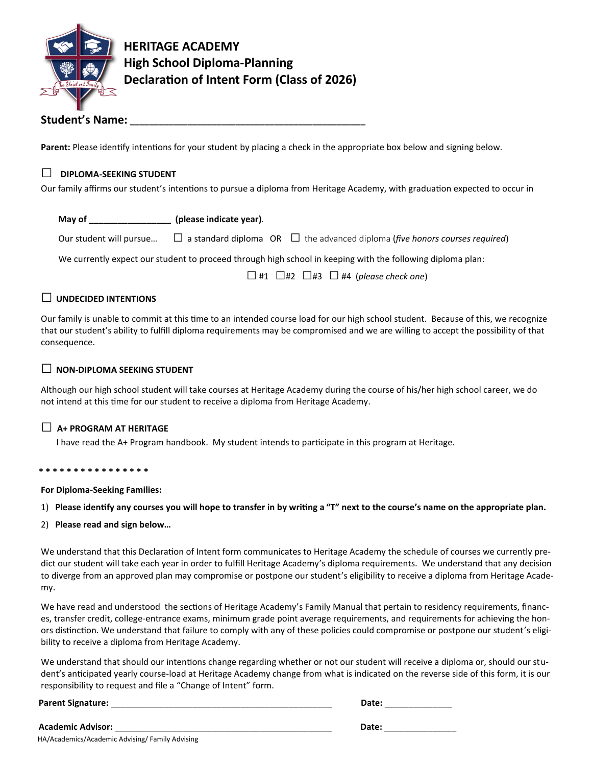

**HERITAGE ACADEMY High School Diploma-Planning Declaration of Intent Form (Class of 2026)**

# **Student's Name: \_\_\_\_\_\_\_\_\_\_\_\_\_\_\_\_\_\_\_\_\_\_\_\_\_\_\_\_\_\_\_\_\_\_\_\_\_\_\_\_\_\_\_\_\_\_\_\_\_**

**Parent:** Please identify intentions for your student by placing a check in the appropriate box below and signing below.

## **□ DIPLOMA-SEEKING STUDENT**

Our family affirms our student's intentions to pursue a diploma from Heritage Academy, with graduation expected to occur in

| May of                  | (please indicate year). |                                                                                         |  |
|-------------------------|-------------------------|-----------------------------------------------------------------------------------------|--|
| Our student will pursue |                         | $\Box$ a standard diploma OR $\Box$ the advanced diploma (five honors courses required) |  |

We currently expect our student to proceed through high school in keeping with the following diploma plan:

□#1 □#2 □#3 □#4 (*please check one*)

### **□ UNDECIDED INTENTIONS**

Our family is unable to commit at this time to an intended course load for our high school student. Because of this, we recognize that our student's ability to fulfill diploma requirements may be compromised and we are willing to accept the possibility of that consequence.

### **□ NON-DIPLOMA SEEKING STUDENT**

Although our high school student will take courses at Heritage Academy during the course of his/her high school career, we do not intend at this time for our student to receive a diploma from Heritage Academy.

### **□ A+ PROGRAM AT HERITAGE**

I have read the A+ Program handbook. My student intends to participate in this program at Heritage.

#### **\* \* \* \* \* \* \* \* \* \* \* \* \* \* \* \***

 **For Diploma-Seeking Families:**

#### 1) **Please identify any courses you will hope to transfer in by writing a "T" next to the course's name on the appropriate plan.**

2) **Please read and sign below…**

We understand that this Declaration of Intent form communicates to Heritage Academy the schedule of courses we currently predict our student will take each year in order to fulfill Heritage Academy's diploma requirements. We understand that any decision to diverge from an approved plan may compromise or postpone our student's eligibility to receive a diploma from Heritage Academy.

We have read and understood the sections of Heritage Academy's Family Manual that pertain to residency requirements, finances, transfer credit, college-entrance exams, minimum grade point average requirements, and requirements for achieving the honors distinction. We understand that failure to comply with any of these policies could compromise or postpone our student's eligibility to receive a diploma from Heritage Academy.

We understand that should our intentions change regarding whether or not our student will receive a diploma or, should our student's anticipated yearly course-load at Heritage Academy change from what is indicated on the reverse side of this form, it is our responsibility to request and file a "Change of Intent" form.

**Parent Signature:** \_\_\_\_\_\_\_\_\_\_\_\_\_\_\_\_\_\_\_\_\_\_\_\_\_\_\_\_\_\_\_\_\_\_\_\_\_\_\_\_\_\_\_\_\_\_ **Date:** \_\_\_\_\_\_\_\_\_\_\_\_\_\_

| <b>Academic Advisor:</b>                        | Date: |
|-------------------------------------------------|-------|
| HA/Academics/Academic Advising/ Family Advising |       |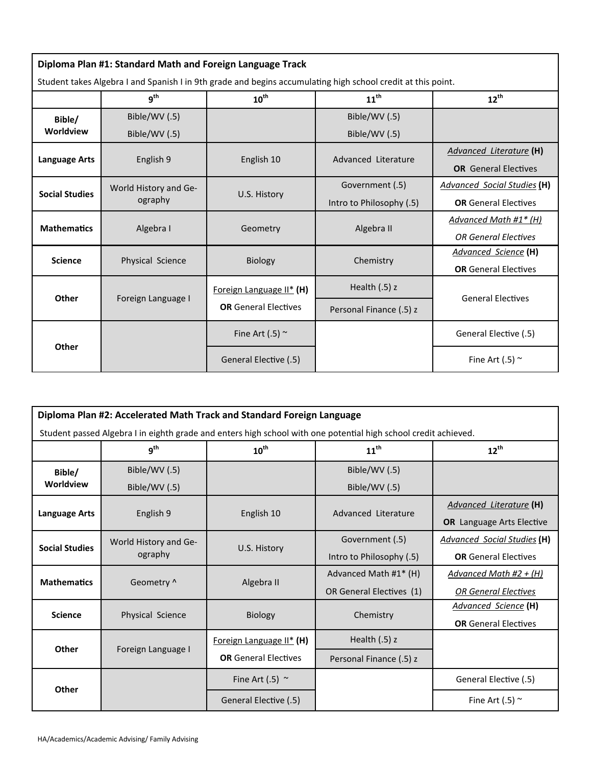| Diploma Plan #1: Standard Math and Foreign Language Track |                                                                                                              |                             |                          |                                    |  |
|-----------------------------------------------------------|--------------------------------------------------------------------------------------------------------------|-----------------------------|--------------------------|------------------------------------|--|
|                                                           | Student takes Algebra I and Spanish I in 9th grade and begins accumulating high school credit at this point. |                             |                          |                                    |  |
|                                                           | g <sup>th</sup>                                                                                              | $10^{\text{th}}$            | $11^{\text{th}}$         | $12^{th}$                          |  |
| Bible/                                                    | Bible/WV (.5)                                                                                                |                             | Bible/WV (.5)            |                                    |  |
| <b>Worldview</b>                                          | Bible/WV (.5)                                                                                                |                             | Bible/WV (.5)            |                                    |  |
|                                                           |                                                                                                              | English 10                  | Advanced Literature      | <b>Advanced Literature (H)</b>     |  |
| Language Arts                                             | English 9                                                                                                    |                             |                          | <b>OR</b> General Electives        |  |
| <b>Social Studies</b>                                     | World History and Ge-<br>ography                                                                             | U.S. History                | Government (.5)          | <b>Advanced Social Studies (H)</b> |  |
|                                                           |                                                                                                              |                             | Intro to Philosophy (.5) | <b>OR</b> General Electives        |  |
| <b>Mathematics</b>                                        | Algebra I                                                                                                    | Geometry                    | Algebra II               | Advanced Math #1* (H)              |  |
|                                                           |                                                                                                              |                             |                          | <b>OR General Electives</b>        |  |
| <b>Science</b>                                            | Physical Science                                                                                             | <b>Biology</b>              | Chemistry                | Advanced Science (H)               |  |
|                                                           |                                                                                                              |                             |                          | <b>OR</b> General Electives        |  |
|                                                           |                                                                                                              | Foreign Language II* (H)    | Health $(.5)$ z          |                                    |  |
| Other                                                     | Foreign Language I                                                                                           | <b>OR</b> General Electives | Personal Finance (.5) z  | <b>General Electives</b>           |  |
|                                                           |                                                                                                              | Fine Art (.5) $\sim$        |                          | General Elective (.5)              |  |
| Other                                                     |                                                                                                              |                             |                          |                                    |  |
|                                                           |                                                                                                              | General Elective (.5)       |                          | Fine Art (.5) $\sim$               |  |

| Diploma Plan #2: Accelerated Math Track and Standard Foreign Language |                                                                                                                 |                             |                          |                                    |  |  |
|-----------------------------------------------------------------------|-----------------------------------------------------------------------------------------------------------------|-----------------------------|--------------------------|------------------------------------|--|--|
|                                                                       | Student passed Algebra I in eighth grade and enters high school with one potential high school credit achieved. |                             |                          |                                    |  |  |
|                                                                       | g <sup>th</sup>                                                                                                 | $10^{\text{th}}$            | $11^{\text{th}}$         | $12^{th}$                          |  |  |
| Bible/                                                                | Bible/WV (.5)                                                                                                   |                             | Bible/WV (.5)            |                                    |  |  |
| Worldview                                                             | Bible/WV (.5)                                                                                                   |                             | Bible/WV (.5)            |                                    |  |  |
| <b>Language Arts</b>                                                  | English 9                                                                                                       | English 10                  | Advanced Literature      | <b>Advanced Literature (H)</b>     |  |  |
|                                                                       |                                                                                                                 |                             |                          | <b>OR</b> Language Arts Elective   |  |  |
| <b>Social Studies</b>                                                 | World History and Ge-<br>ography                                                                                | U.S. History                | Government (.5)          | <b>Advanced Social Studies (H)</b> |  |  |
|                                                                       |                                                                                                                 |                             | Intro to Philosophy (.5) | <b>OR</b> General Electives        |  |  |
| <b>Mathematics</b>                                                    | Geometry ^                                                                                                      | Algebra II                  | Advanced Math #1* (H)    | Advanced Math #2 + (H)             |  |  |
|                                                                       |                                                                                                                 |                             | OR General Electives (1) | <b>OR General Electives</b>        |  |  |
| <b>Science</b>                                                        | Physical Science                                                                                                | <b>Biology</b>              | Chemistry                | Advanced Science (H)               |  |  |
|                                                                       |                                                                                                                 |                             |                          | <b>OR</b> General Electives        |  |  |
| Other                                                                 | Foreign Language I                                                                                              | Foreign Language II* (H)    | Health $(.5)$ z          |                                    |  |  |
|                                                                       |                                                                                                                 | <b>OR</b> General Electives | Personal Finance (.5) z  |                                    |  |  |
| Other                                                                 |                                                                                                                 | Fine Art (.5) $\sim$        |                          | General Elective (.5)              |  |  |
|                                                                       |                                                                                                                 | General Elective (.5)       |                          | Fine Art (.5) $\sim$               |  |  |